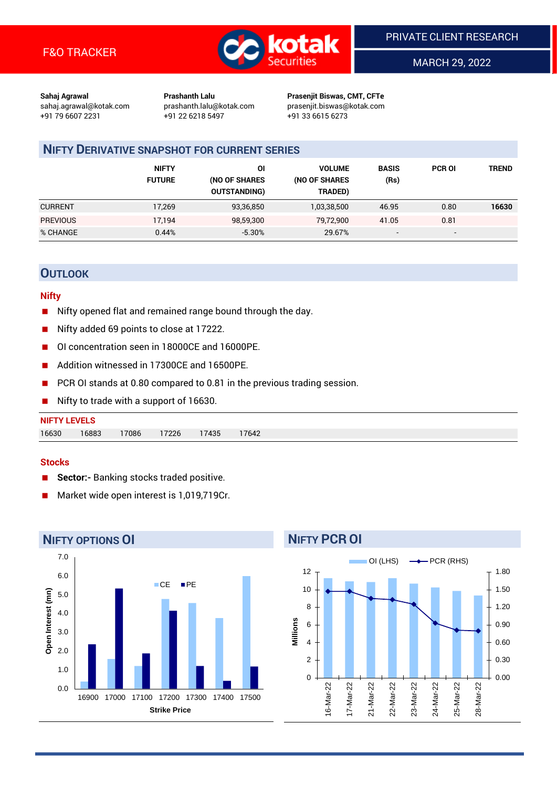

MARCH 29, 2022

**Sahaj Agrawal Prashanth Lalu Prasenjit Biswas, CMT, CFTe** +91 79 6607 2231 +91 22 6218 5497 +91 33 6615 6273

sahaj.agrawal@kotak.com [prashanth.lalu@kotak.com](mailto:prashanth.lalu@kotak.com) prasenjit.biswas@kotak.com

## **NIFTY DERIVATIVE SNAPSHOT FOR CURRENT SERIES**

|                 | <b>NIFTY</b><br><b>FUTURE</b> | ΟI<br>(NO OF SHARES<br><b>OUTSTANDING)</b> | <b>VOLUME</b><br>(NO OF SHARES<br>TRADED) | <b>BASIS</b><br>(Rs)     | <b>PCR OI</b>            | TREND |
|-----------------|-------------------------------|--------------------------------------------|-------------------------------------------|--------------------------|--------------------------|-------|
| <b>CURRENT</b>  | 17,269                        | 93,36,850                                  | 1,03,38,500                               | 46.95                    | 0.80                     | 16630 |
| <b>PREVIOUS</b> | 17.194                        | 98,59,300                                  | 79,72,900                                 | 41.05                    | 0.81                     |       |
| % CHANGE        | 0.44%                         | $-5.30%$                                   | 29.67%                                    | $\overline{\phantom{0}}$ | $\overline{\phantom{0}}$ |       |

## **OUTLOOK**

#### **Nifty**

- Nifty opened flat and remained range bound through the day.
- Nifty added 69 points to close at 17222.
- OI concentration seen in 18000CE and 16000PE.
- Addition witnessed in 17300CF and 16500PF.
- PCR OI stands at 0.80 compared to 0.81 in the previous trading session.
- Nifty to trade with a support of 16630.

# **NIFTY LEVELS** 16630 16883 17086 17226 17435 17642

#### **Stocks**

- **Sector:-** Banking stocks traded positive.
- Market wide open interest is 1,019,719Cr.



# **NIFTY PCR OI**

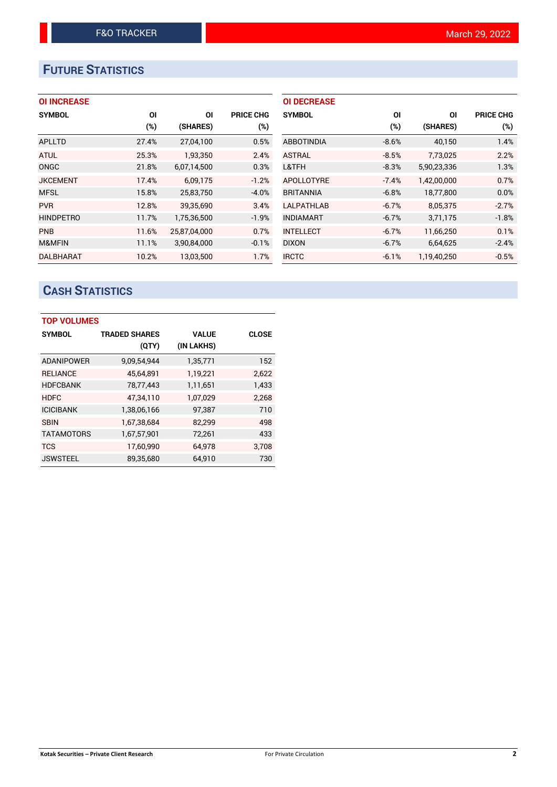# **FUTURE STATISTICS**

| <b>OI INCREASE</b> |
|--------------------|
|--------------------|

| <b>SYMBOL</b>    | ΟI     | ΟI           | <b>PRICE CHG</b> |
|------------------|--------|--------------|------------------|
|                  | $(\%)$ | (SHARES)     | (%)              |
| <b>APLLTD</b>    | 27.4%  | 27,04,100    | 0.5%             |
| <b>ATUL</b>      | 25.3%  | 1,93,350     | 2.4%             |
| <b>ONGC</b>      | 21.8%  | 6,07,14,500  | 0.3%             |
| <b>JKCEMENT</b>  | 17.4%  | 6,09,175     | $-1.2%$          |
| <b>MFSL</b>      | 15.8%  | 25,83,750    | $-4.0%$          |
| <b>PVR</b>       | 12.8%  | 39,35,690    | 3.4%             |
| <b>HINDPETRO</b> | 11.7%  | 1,75,36,500  | $-1.9%$          |
| <b>PNB</b>       | 11.6%  | 25,87,04,000 | 0.7%             |
| M&MFIN           | 11.1%  | 3,90,84,000  | $-0.1%$          |
| <b>DALBHARAT</b> | 10.2%  | 13.03.500    | 1.7%             |

| <b>OI DECREASE</b> |         |             |                  |
|--------------------|---------|-------------|------------------|
| <b>SYMBOL</b>      | ΟI      | ΟI          | <b>PRICE CHG</b> |
|                    | $(\%)$  | (SHARES)    | $(\%)$           |
| <b>ABBOTINDIA</b>  | $-8.6%$ | 40,150      | 1.4%             |
| <b>ASTRAL</b>      | $-8.5%$ | 7,73,025    | 2.2%             |
| L&TFH              | $-8.3%$ | 5,90,23,336 | 1.3%             |
| <b>APOLLOTYRE</b>  | $-7.4%$ | 1,42,00,000 | 0.7%             |
| <b>BRITANNIA</b>   | $-6.8%$ | 18,77,800   | $0.0\%$          |
| LALPATHLAB         | $-6.7%$ | 8.05.375    | $-2.7%$          |
| <b>INDIAMART</b>   | $-6.7%$ | 3,71,175    | $-1.8%$          |
| <b>INTELLECT</b>   | $-6.7%$ | 11,66,250   | 0.1%             |
| <b>DIXON</b>       | $-6.7%$ | 6,64,625    | $-2.4%$          |
| <b>IRCTC</b>       | $-6.1%$ | 1.19.40.250 | $-0.5%$          |

# **CASH STATISTICS**

| <b>TOP VOLUMES</b> |                      |              |              |  |  |  |  |  |
|--------------------|----------------------|--------------|--------------|--|--|--|--|--|
| <b>SYMBOL</b>      | <b>TRADED SHARES</b> | <b>VALUE</b> | <b>CLOSE</b> |  |  |  |  |  |
|                    | (QTY)                | (IN LAKHS)   |              |  |  |  |  |  |
| <b>ADANIPOWER</b>  | 9,09,54,944          | 1,35,771     | 152          |  |  |  |  |  |
| <b>RELIANCE</b>    | 45,64,891            | 1,19,221     | 2.622        |  |  |  |  |  |
| <b>HDFCBANK</b>    | 78,77,443            | 1,11,651     | 1,433        |  |  |  |  |  |
| <b>HDFC</b>        | 47,34,110            | 1,07,029     | 2.268        |  |  |  |  |  |
| <b>ICICIBANK</b>   | 1,38,06,166          | 97,387       | 710          |  |  |  |  |  |
| <b>SBIN</b>        | 1,67,38,684          | 82,299       | 498          |  |  |  |  |  |
| <b>TATAMOTORS</b>  | 1,67,57,901          | 72,261       | 433          |  |  |  |  |  |
| <b>TCS</b>         | 17,60,990            | 64,978       | 3,708        |  |  |  |  |  |
| <b>JSWSTEEL</b>    | 89,35,680            | 64.910       | 730          |  |  |  |  |  |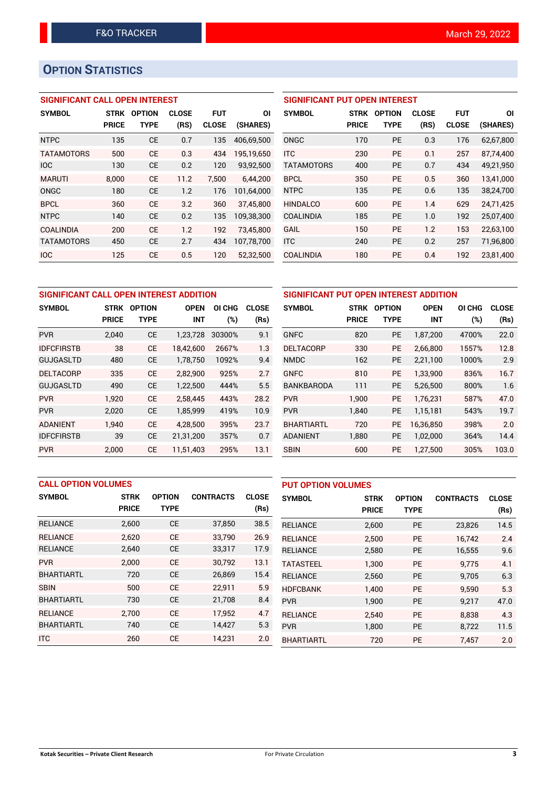## **OPTION STATISTICS**

## **SIGNIFICANT CALL OPEN INTEREST**

| <b>SYMBOL</b>     | <b>STRK</b>  | <b>OPTION</b> | <b>CLOSE</b> | <b>FUT</b>   | ΟI         |
|-------------------|--------------|---------------|--------------|--------------|------------|
|                   | <b>PRICE</b> | <b>TYPE</b>   | (RS)         | <b>CLOSE</b> | (SHARES)   |
| <b>NTPC</b>       | 135          | <b>CE</b>     | 0.7          | 135          | 406.69.500 |
| <b>TATAMOTORS</b> | 500          | CF            | 0.3          | 434          | 195,19,650 |
| <b>IOC</b>        | 130          | <b>CE</b>     | 0.2          | 120          | 93,92,500  |
| <b>MARUTI</b>     | 8.000        | CE            | 11.2         | 7.500        | 6,44,200   |
| ONGC              | 180          | <b>CE</b>     | 1.2          | 176          | 101,64,000 |
| <b>BPCL</b>       | 360          | <b>CE</b>     | 3.2          | 360          | 37,45,800  |
| <b>NTPC</b>       | 140          | CE            | 0.2          | 135          | 109,38,300 |
| <b>COALINDIA</b>  | 200          | <b>CE</b>     | 1.2          | 192          | 73,45,800  |
| <b>TATAMOTORS</b> | 450          | <b>CE</b>     | 2.7          | 434          | 107,78,700 |
| <b>IOC</b>        | 125          | <b>CE</b>     | 0.5          | 120          | 52.32.500  |

## **SIGNIFICANT PUT OPEN INTEREST SYMBOL STRK OPTION CLOSE FUT OI PRICE TYPE (RS) CLOSE (SHARES)** ONGC 170 PE 0.3 176 62,67,800 ITC 230 PE 0.1 257 87,74,400 TATAMOTORS 400 PE 0.7 434 49,21,950 BPCL 350 PE 0.5 360 13,41,000 NTPC 135 PE 0.6 135 38,24,700 HINDALCO 600 PE 1.4 629 24,71,425 COALINDIA 185 PE 1.0 192 25,07,400

GAIL 150 PE 1.2 153 22,63,100 ITC 240 PE 0.2 257 71,96,800 COALINDIA 180 PE 0.4 192 23,81,400

| SIGNIFICANT CALL OPEN INTEREST ADDITION |              |               |             |        |              |  |  |  |  |
|-----------------------------------------|--------------|---------------|-------------|--------|--------------|--|--|--|--|
| <b>SYMBOL</b>                           | STRK         | <b>OPTION</b> | <b>OPEN</b> | OI CHG | <b>CLOSE</b> |  |  |  |  |
|                                         | <b>PRICE</b> | <b>TYPE</b>   | INT         | $(\%)$ | (Rs)         |  |  |  |  |
| <b>PVR</b>                              | 2,040        | <b>CE</b>     | 1,23,728    | 30300% | 9.1          |  |  |  |  |
| <b>IDFCFIRSTB</b>                       | 38           | <b>CE</b>     | 18,42,600   | 2667%  | 1.3          |  |  |  |  |
| GUJGASLTD                               | 480          | <b>CE</b>     | 1,78,750    | 1092%  | 9.4          |  |  |  |  |
| <b>DELTACORP</b>                        | 335          | <b>CE</b>     | 2,82,900    | 925%   | 2.7          |  |  |  |  |
| <b>GUJGASLTD</b>                        | 490          | СE            | 1,22,500    | 444%   | 5.5          |  |  |  |  |
| <b>PVR</b>                              | 1,920        | <b>CE</b>     | 2,58,445    | 443%   | 28.2         |  |  |  |  |
| <b>PVR</b>                              | 2,020        | <b>CE</b>     | 1,85,999    | 419%   | 10.9         |  |  |  |  |
| <b>ADANIENT</b>                         | 1,940        | <b>CE</b>     | 4,28,500    | 395%   | 23.7         |  |  |  |  |
| <b>IDFCFIRSTB</b>                       | 39           | <b>CE</b>     | 21,31,200   | 357%   | 0.7          |  |  |  |  |
| <b>PVR</b>                              | 2,000        | <b>CE</b>     | 11,51,403   | 295%   | 13.1         |  |  |  |  |

| SIGNIFICANT PUT OPEN INTEREST ADDITION |              |               |             |        |              |  |  |  |
|----------------------------------------|--------------|---------------|-------------|--------|--------------|--|--|--|
| <b>SYMBOL</b>                          | <b>STRK</b>  | <b>OPTION</b> | <b>OPEN</b> | OI CHG | <b>CLOSE</b> |  |  |  |
|                                        | <b>PRICE</b> | TYPE          | <b>INT</b>  | (%)    | (Rs)         |  |  |  |
| <b>GNFC</b>                            | 820          | <b>PE</b>     | 1,87,200    | 4700%  | 22.0         |  |  |  |
| <b>DELTACORP</b>                       | 330          | <b>PE</b>     | 2,66,800    | 1557%  | 12.8         |  |  |  |
| <b>NMDC</b>                            | 162          | <b>PE</b>     | 2,21,100    | 1000%  | 2.9          |  |  |  |
| <b>GNFC</b>                            | 810          | <b>PE</b>     | 1,33,900    | 836%   | 16.7         |  |  |  |
| <b>BANKBARODA</b>                      | 111          | <b>PE</b>     | 5,26,500    | 800%   | 1.6          |  |  |  |
| <b>PVR</b>                             | 1.900        | <b>PE</b>     | 1,76,231    | 587%   | 47.0         |  |  |  |
| <b>PVR</b>                             | 1,840        | РE            | 1,15,181    | 543%   | 19.7         |  |  |  |
| <b>BHARTIARTL</b>                      | 720          | <b>PE</b>     | 16,36,850   | 398%   | 2.0          |  |  |  |
| <b>ADANIENT</b>                        | 1,880        | <b>PE</b>     | 1,02,000    | 364%   | 14.4         |  |  |  |
| SBIN                                   | 600          | <b>PE</b>     | 1,27,500    | 305%   | 103.0        |  |  |  |

| <b>CALL OPTION VOLUMES</b> |              |               |                  |              | <b>PUT OPTION VOLUMES</b> |              |               |                  |              |
|----------------------------|--------------|---------------|------------------|--------------|---------------------------|--------------|---------------|------------------|--------------|
| <b>SYMBOL</b>              | <b>STRK</b>  | <b>OPTION</b> | <b>CONTRACTS</b> | <b>CLOSE</b> | <b>SYMBOL</b>             | <b>STRK</b>  | <b>OPTION</b> | <b>CONTRACTS</b> | <b>CLOSE</b> |
|                            | <b>PRICE</b> | <b>TYPE</b>   |                  | (Rs)         |                           | <b>PRICE</b> | <b>TYPE</b>   |                  | (Rs)         |
| <b>RELIANCE</b>            | 2,600        | <b>CE</b>     | 37,850           | 38.5         | <b>RELIANCE</b>           | 2,600        | <b>PE</b>     | 23,826           | 14.5         |
| <b>RELIANCE</b>            | 2.620        | <b>CE</b>     | 33.790           | 26.9         | <b>RELIANCE</b>           | 2,500        | <b>PE</b>     | 16.742           | 2.4          |
| <b>RELIANCE</b>            | 2.640        | <b>CE</b>     | 33,317           | 17.9         | <b>RELIANCE</b>           | 2,580        | <b>PE</b>     | 16,555           | 9.6          |
| <b>PVR</b>                 | 2.000        | <b>CE</b>     | 30,792           | 13.1         | <b>TATASTEEL</b>          | 1,300        | <b>PE</b>     | 9.775            | 4.1          |
| <b>BHARTIARTL</b>          | 720          | <b>CE</b>     | 26,869           | 15.4         | <b>RELIANCE</b>           | 2,560        | <b>PE</b>     | 9,705            | 6.3          |
| <b>SBIN</b>                | 500          | <b>CE</b>     | 22,911           | 5.9          | <b>HDFCBANK</b>           | 1.400        | <b>PE</b>     | 9.590            | 5.3          |
| <b>BHARTIARTL</b>          | 730          | <b>CE</b>     | 21,708           | 8.4          | <b>PVR</b>                | 1,900        | PE            | 9,217            | 47.0         |
| <b>RELIANCE</b>            | 2.700        | <b>CE</b>     | 17,952           | 4.7          | <b>RELIANCE</b>           | 2.540        | <b>PE</b>     | 8.838            | 4.3          |
| <b>BHARTIARTL</b>          | 740          | <b>CE</b>     | 14,427           | 5.3          | <b>PVR</b>                | 1,800        | <b>PE</b>     | 8,722            | 11.5         |
| <b>ITC</b>                 | 260          | <b>CE</b>     | 14,231           | 2.0          | <b>BHARTIARTL</b>         | 720          | PE            | 7.457            | 2.0          |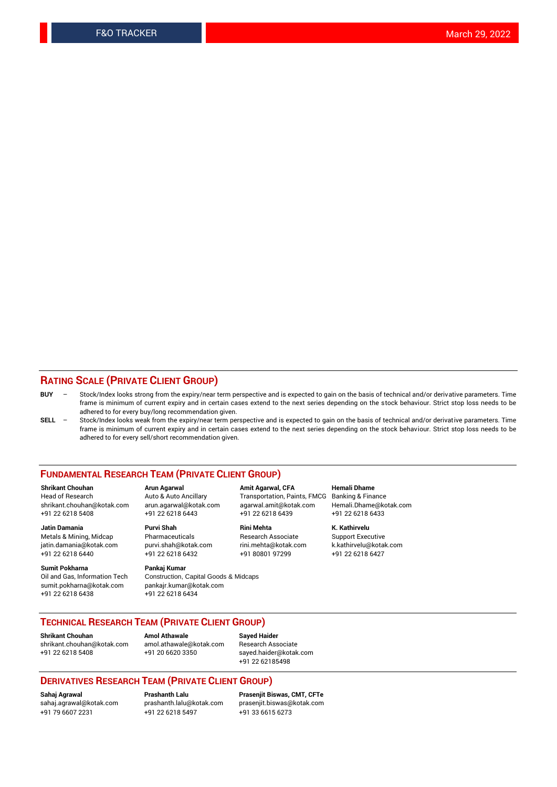### **RATING SCALE (PRIVATE CLIENT GROUP)**

- **BUY**  Stock/Index looks strong from the expiry/near term perspective and is expected to gain on the basis of technical and/or derivative parameters. Time frame is minimum of current expiry and in certain cases extend to the next series depending on the stock behaviour. Strict stop loss needs to be adhered to for every buy/long recommendation given.
- **SELL** Stock/Index looks weak from the expiry/near term perspective and is expected to gain on the basis of technical and/or derivative parameters. Time frame is minimum of current expiry and in certain cases extend to the next series depending on the stock behaviour. Strict stop loss needs to be adhered to for every sell/short recommendation given.

#### **FUNDAMENTAL RESEARCH TEAM (PRIVATE CLIENT GROUP)**

**Shrikant Chouhan Arun Agarwal Amit Agarwal, CFA Hemali Dhame** +91 22 6218 5408 +91 22 6218 6443 +91 22 6218 6439 +91 22 6218 6433

jatin.damania@kotak.com +91 22 6218 6440 +91 22 6218 6432 +91 80801 97299 +91 22 6218 6427

**Sumit Pokharna** Pankaj Kumar<br>Oil and Gas, Information Tech Construction, sumit.pokharna@kotak.com pankajr.kumar@kotak.com +91 22 6218 6438 +91 22 6218 6434

**Jatin Damania Purvi Shah Rini Mehta K. Kathirvelu**

Construction, Capital Goods & Midcaps

Transportation, Paints, FMCG Banking & Finance shrikant.chouhan@kotak.com arun.agarwal@kotak.com agarwal.amit@kotak.com Hemali.Dhame@kotak.com

Metals & Mining, Midcap Pharmaceuticals Research Associate Support Executive<br>
jatin.damania@kotak.com purvi.shah@kotak.com rini.mehta@kotak.com k.kathirvelu@kotak.com

## **TECHNICAL RESEARCH TEAM (PRIVATE CLIENT GROUP)**

**Shrikant Chouhan Amol Athawale Sayed Haider** [shrikant.chouhan@kotak.com](mailto:shrikant.chouhan@kotak.com) [amol.athawale@kotak.com](mailto:amol.athawale@kotak.com) Research Associate

+91 22 6218 5408 +91 20 6620 3350 [sayed.haider@kotak.com](mailto:sayed.haider@kotak.com) +91 22 62185498

#### **DERIVATIVES RESEARCH TEAM (PRIVATE CLIENT GROUP)**

+91 79 6607 2231 +91 22 6218 5497 +91 33 6615 6273

**Sahaj Agrawal Prashanth Lalu Prasenjit Biswas, CMT, CFTe** [sahaj.agrawal@kotak.com](mailto:sahaj.agrawal@kotak.com) [prashanth.lalu@kotak.com](mailto:prashanth.lalu@kotak.com) [prasenjit.biswas@kotak.com](mailto:prasenjit.biswas@kotak.com)